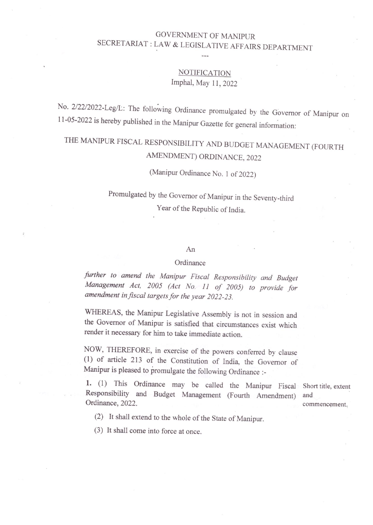### GOVERNMENT OF MANIPUR SECRETARIAT : LAW & LEGISLATIVE AFFAIRS DEPARTMENT

### **NOTIFICATION** lmphal, May 11, 2022

No. 2/22/2022-Leg/L': The following Ordinance promulgated by the Governor of Manipur on 11-05-2022 is hereby published in the Manipur Gazette for general information:

# THE MANIPUR FISCAL RESPONSIBILITY AND BUDGET MANAGEMENT (FOURTH AMENDMENT) ORDINANCE, 2022

## (Manipur Ordinance No. <sup>l</sup> of 2022)

Promulgated by the Governor of Manipur in the Seventy-third Year of the Republic of India.

#### An

#### **Ordinance**

further to amend the Manipur Fiscal Responsibility and Budget Management Act, <sup>2005</sup> (Act No, <sup>11</sup> of 2005) to provide for amendment in fiscal targets for the year 2022-23.

WHEREAS, the Manipur Legislative Assembly is not in session and the Governor of Manipur is satisfied that circumstances exist which render it necessary for him to take immediate action.

NOW, THEREFORE, in exercise of the powers conferred by clause (1) of article <sup>213</sup> of the Constitution of India, the Governor of Manipur is pleased to promulgate the following Ordinance :-

1. (1) This Ordinance may be called the Manipur Fiscal Short title, extent Responsibility and Budget Management (Fourth Amendment) and Ordinance, 2022. commencement.

(2) It shall extend to the whole of the State of Manipur.

(3) It shall come into force at once.